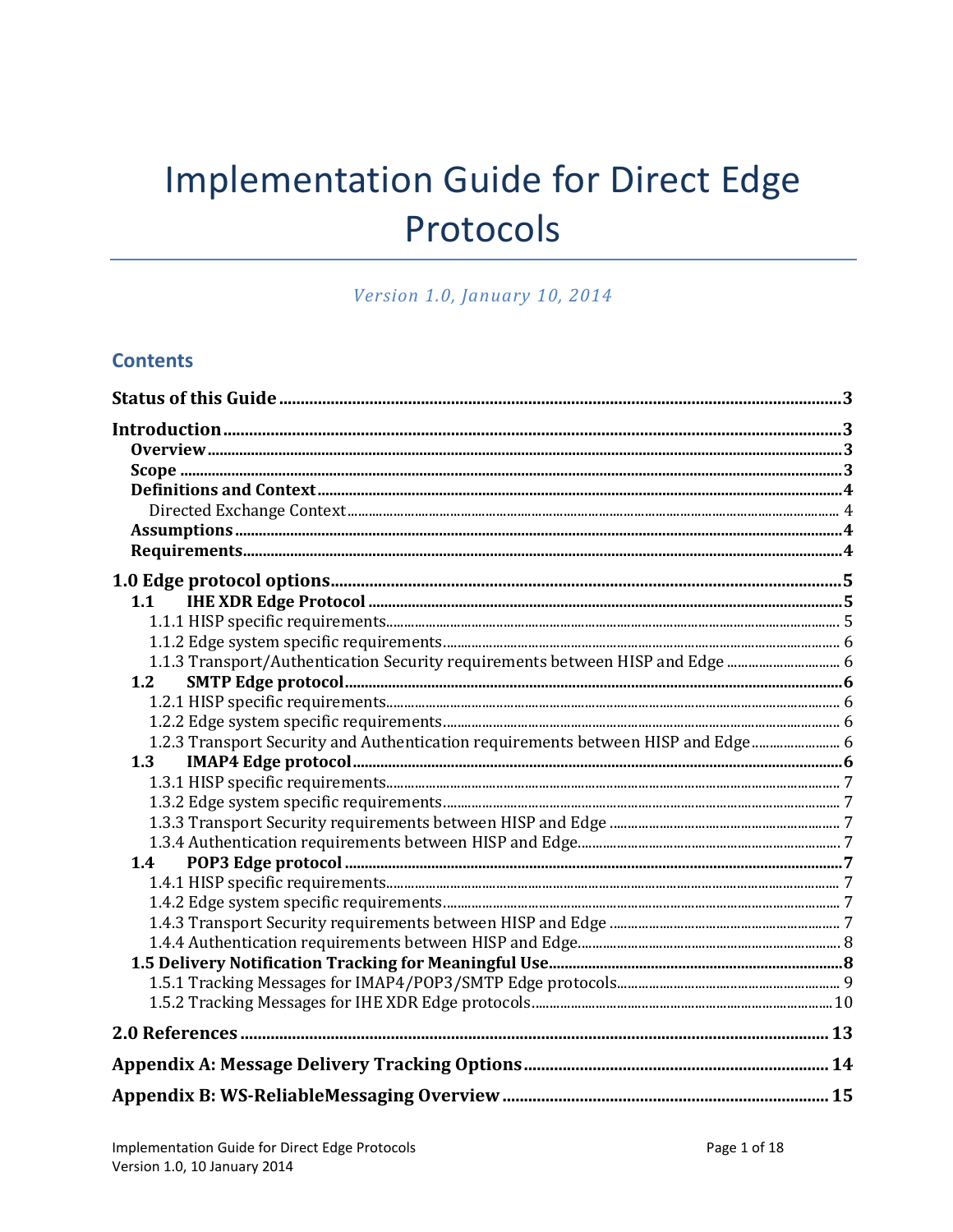# **Implementation Guide for Direct Edge** Protocols

Version 1.0, January 10, 2014

### **Contents**

| 1.1.3 Transport/Authentication Security requirements between HISP and Edge  6    |  |
|----------------------------------------------------------------------------------|--|
| 1.2                                                                              |  |
|                                                                                  |  |
|                                                                                  |  |
| 1.2.3 Transport Security and Authentication requirements between HISP and Edge 6 |  |
| 1.3                                                                              |  |
|                                                                                  |  |
|                                                                                  |  |
|                                                                                  |  |
|                                                                                  |  |
|                                                                                  |  |
|                                                                                  |  |
|                                                                                  |  |
|                                                                                  |  |
|                                                                                  |  |
|                                                                                  |  |
|                                                                                  |  |
|                                                                                  |  |
|                                                                                  |  |
|                                                                                  |  |
|                                                                                  |  |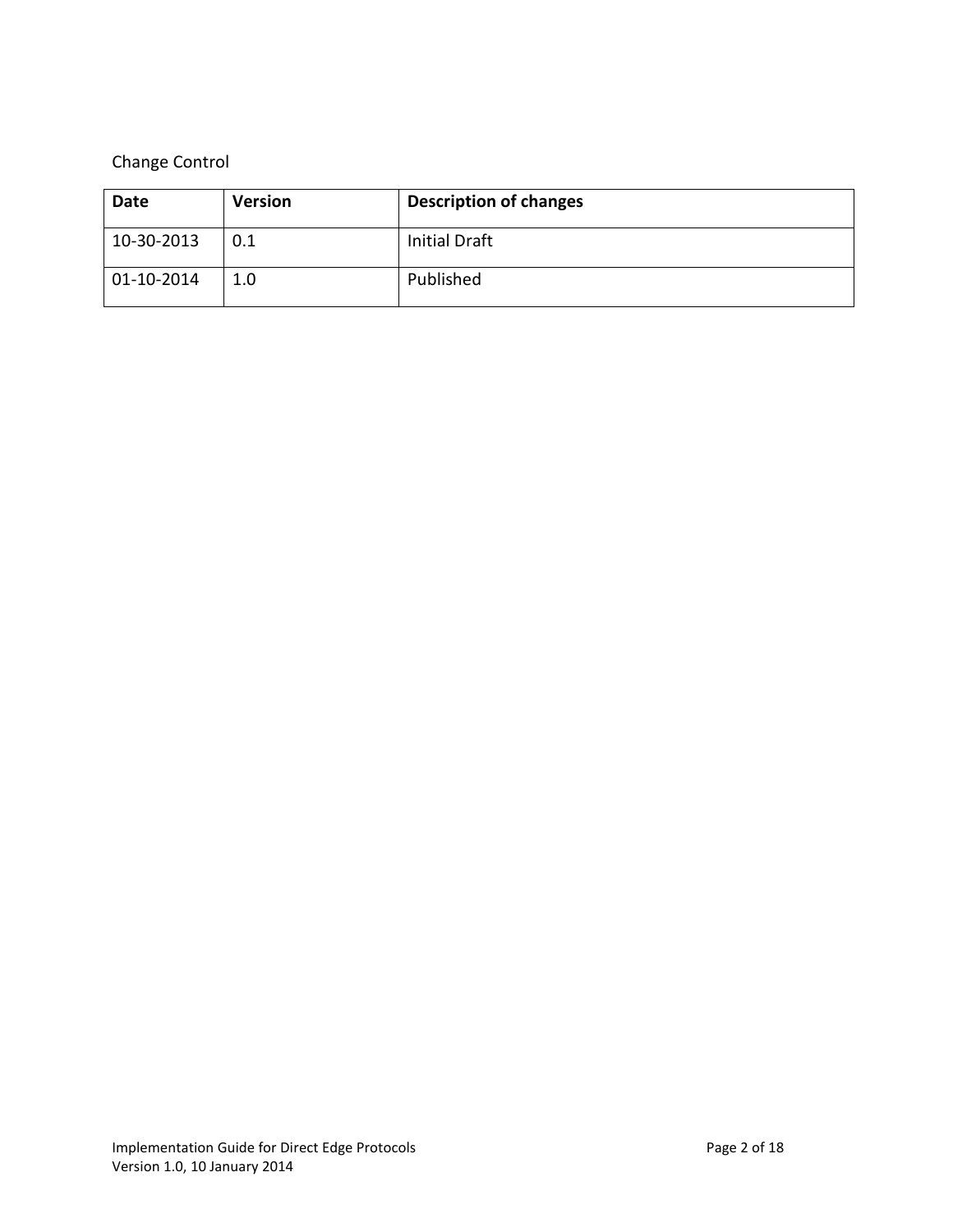## Change Control

| Date             | <b>Version</b> | <b>Description of changes</b> |
|------------------|----------------|-------------------------------|
| 10-30-2013       | 0.1            | Initial Draft                 |
| $01 - 10 - 2014$ | 1.0            | Published                     |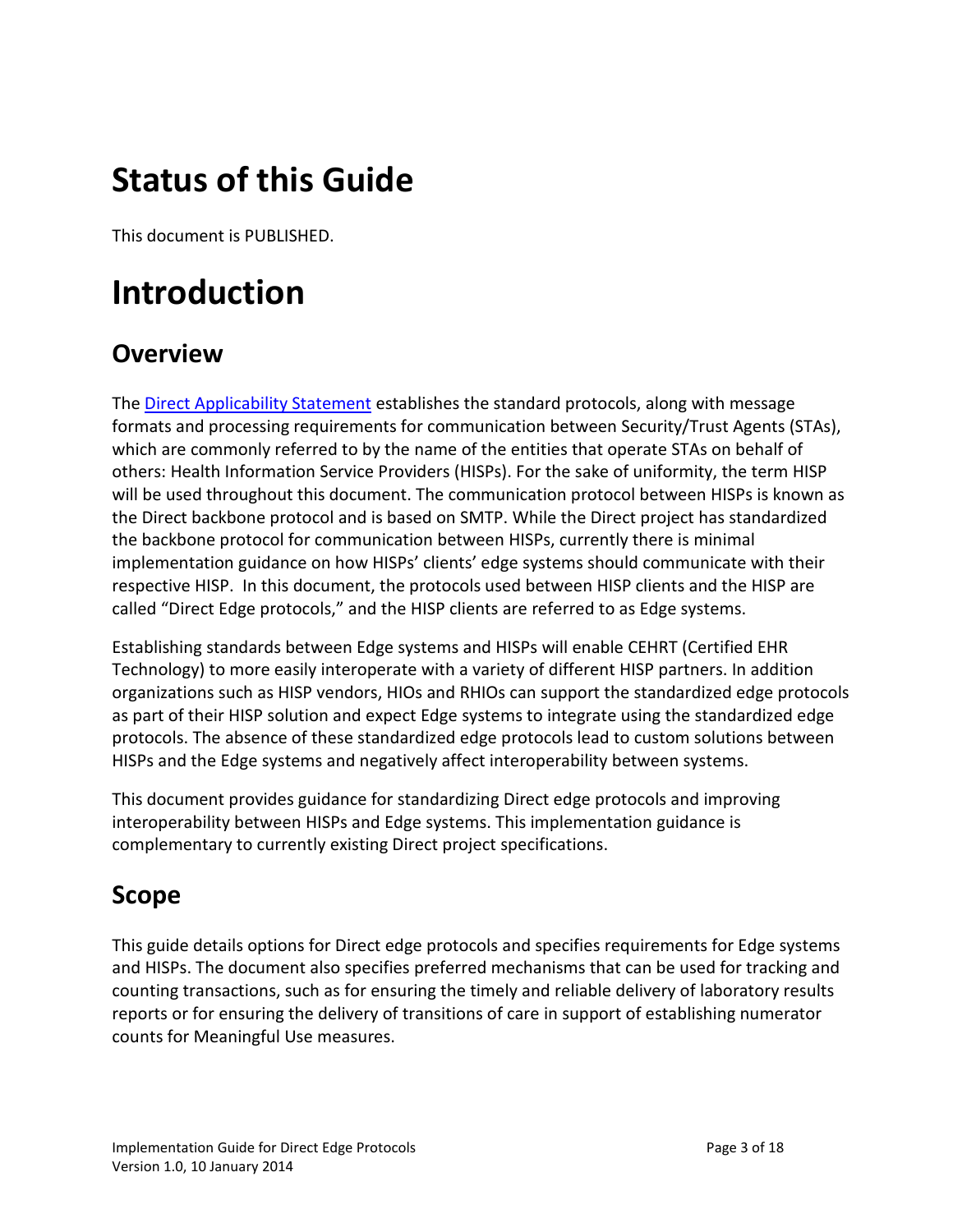# <span id="page-2-0"></span>**Status of this Guide**

This document is PUBLISHED.

# <span id="page-2-1"></span>**Introduction**

# <span id="page-2-2"></span>**Overview**

The [Direct Applicability Statement](http://wiki.directproject.org/Applicability+Statement+for+Secure+Health+Transport+-+Call+to+Consensus+on+Requiring+DNS+and+LDAP+Certificate+Discovery) establishes the standard protocols, along with message formats and processing requirements for communication between Security/Trust Agents (STAs), which are commonly referred to by the name of the entities that operate STAs on behalf of others: Health Information Service Providers (HISPs). For the sake of uniformity, the term HISP will be used throughout this document. The communication protocol between HISPs is known as the Direct backbone protocol and is based on SMTP. While the Direct project has standardized the backbone protocol for communication between HISPs, currently there is minimal implementation guidance on how HISPs' clients' edge systems should communicate with their respective HISP. In this document, the protocols used between HISP clients and the HISP are called "Direct Edge protocols," and the HISP clients are referred to as Edge systems.

Establishing standards between Edge systems and HISPs will enable CEHRT (Certified EHR Technology) to more easily interoperate with a variety of different HISP partners. In addition organizations such as HISP vendors, HIOs and RHIOs can support the standardized edge protocols as part of their HISP solution and expect Edge systems to integrate using the standardized edge protocols. The absence of these standardized edge protocols lead to custom solutions between HISPs and the Edge systems and negatively affect interoperability between systems.

This document provides guidance for standardizing Direct edge protocols and improving interoperability between HISPs and Edge systems. This implementation guidance is complementary to currently existing Direct project specifications.

# <span id="page-2-3"></span>**Scope**

This guide details options for Direct edge protocols and specifies requirements for Edge systems and HISPs. The document also specifies preferred mechanisms that can be used for tracking and counting transactions, such as for ensuring the timely and reliable delivery of laboratory results reports or for ensuring the delivery of transitions of care in support of establishing numerator counts for Meaningful Use measures.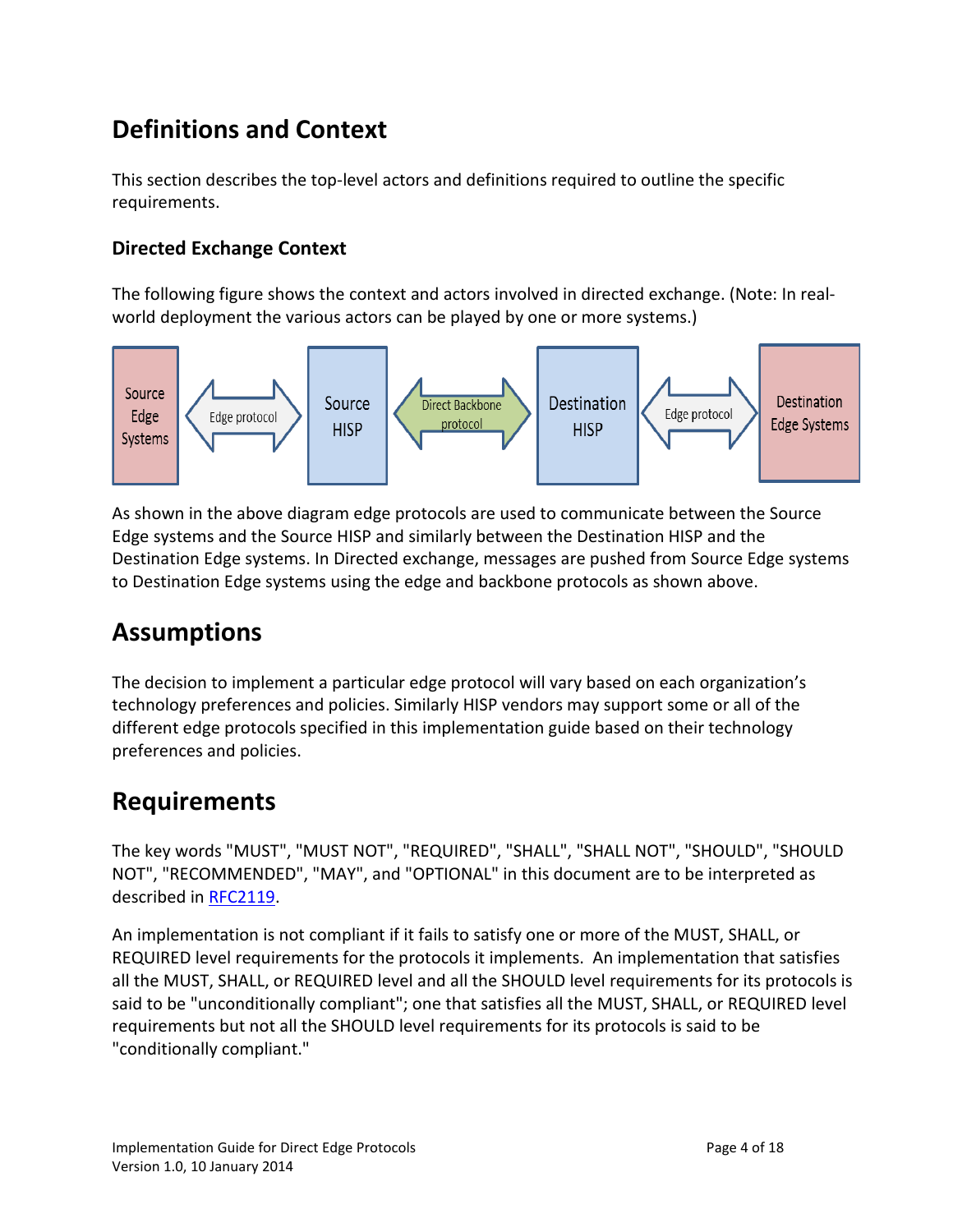# <span id="page-3-0"></span>**Definitions and Context**

This section describes the top-level actors and definitions required to outline the specific requirements.

## <span id="page-3-1"></span>**Directed Exchange Context**

The following figure shows the context and actors involved in directed exchange. (Note: In realworld deployment the various actors can be played by one or more systems.)



As shown in the above diagram edge protocols are used to communicate between the Source Edge systems and the Source HISP and similarly between the Destination HISP and the Destination Edge systems. In Directed exchange, messages are pushed from Source Edge systems to Destination Edge systems using the edge and backbone protocols as shown above.

# <span id="page-3-2"></span>**Assumptions**

The decision to implement a particular edge protocol will vary based on each organization's technology preferences and policies. Similarly HISP vendors may support some or all of the different edge protocols specified in this implementation guide based on their technology preferences and policies.

## <span id="page-3-3"></span>**Requirements**

The key words "MUST", "MUST NOT", "REQUIRED", "SHALL", "SHALL NOT", "SHOULD", "SHOULD NOT", "RECOMMENDED", "MAY", and "OPTIONAL" in this document are to be interpreted as described in [RFC2119.](http://tools.ietf.org/html/rfc2119)

An implementation is not compliant if it fails to satisfy one or more of the MUST, SHALL, or REQUIRED level requirements for the protocols it implements. An implementation that satisfies all the MUST, SHALL, or REQUIRED level and all the SHOULD level requirements for its protocols is said to be "unconditionally compliant"; one that satisfies all the MUST, SHALL, or REQUIRED level requirements but not all the SHOULD level requirements for its protocols is said to be "conditionally compliant."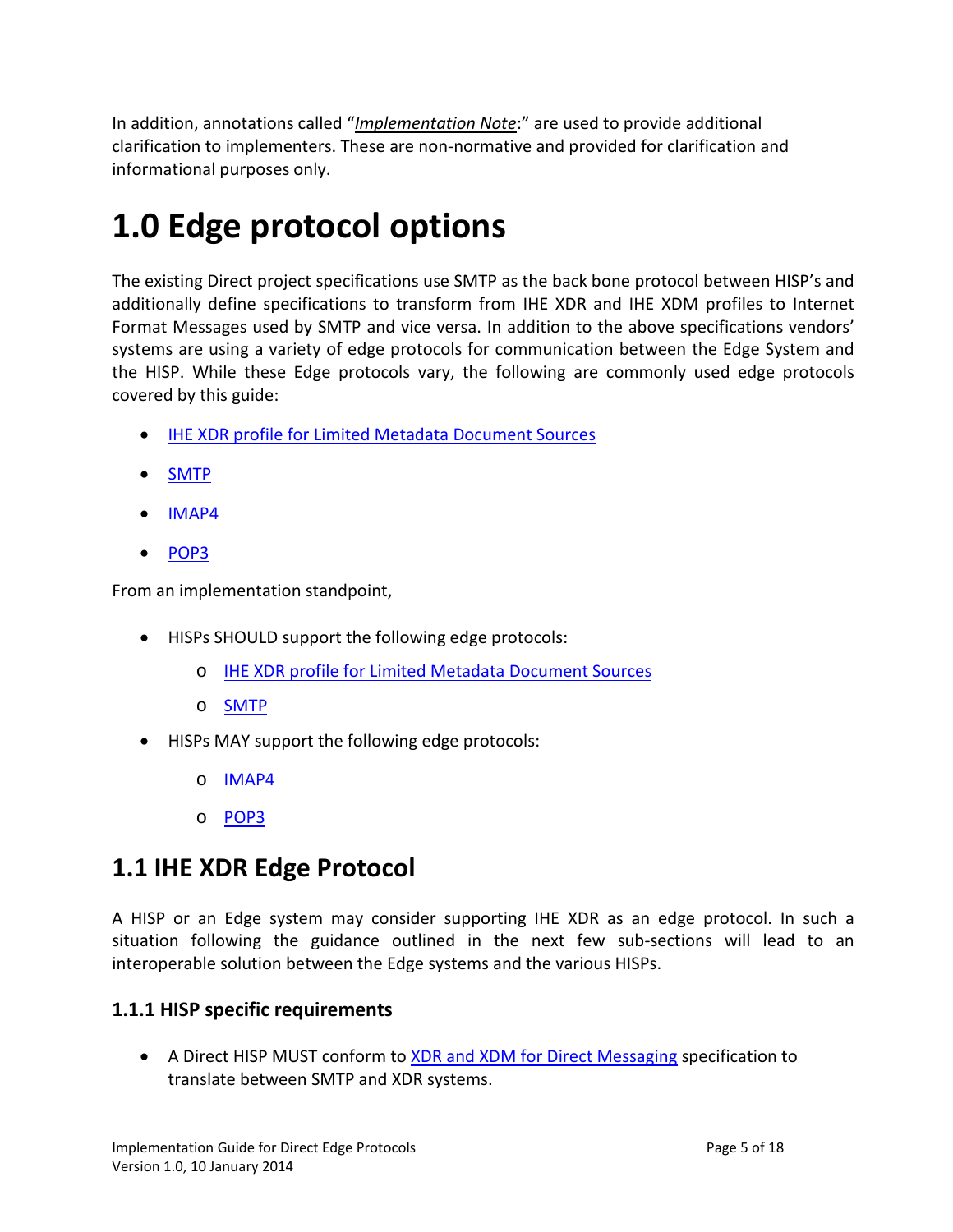In addition, annotations called "*Implementation Note*:" are used to provide additional clarification to implementers. These are non-normative and provided for clarification and informational purposes only.

# <span id="page-4-0"></span>**1.0 Edge protocol options**

The existing Direct project specifications use SMTP as the back bone protocol between HISP's and additionally define specifications to transform from IHE XDR and IHE XDM profiles to Internet Format Messages used by SMTP and vice versa. In addition to the above specifications vendors' systems are using a variety of edge protocols for communication between the Edge System and the HISP. While these Edge protocols vary, the following are commonly used edge protocols covered by this guide:

- [IHE XDR profile for Limited Metadata Document Sources](http://www.ihe.net/Technical_Framework/upload/IHE_ITI_Suppl_Support-for-Metadata-Limited-Doc-Sources_Rev1-1_TI_2011-08-19.pdf)
- [SMTP](http://www.ietf.org/rfc/rfc2821.txt)
- [IMAP4](http://tools.ietf.org/html/rfc3501)
- [POP3](http://www.ietf.org/rfc/rfc1939.txt)

From an implementation standpoint,

- HISPs SHOULD support the following edge protocols:
	- o [IHE XDR profile for Limited Metadata Document Sources](http://www.ihe.net/Technical_Framework/upload/IHE_ITI_Suppl_Support-for-Metadata-Limited-Doc-Sources_Rev1-1_TI_2011-08-19.pdf)
	- o [SMTP](http://www.ietf.org/rfc/rfc2821.txt)
- HISPs MAY support the following edge protocols:
	- o [IMAP4](http://tools.ietf.org/html/rfc3501)
	- o [POP3](http://www.ietf.org/rfc/rfc1939.txt)

## <span id="page-4-1"></span>**1.1 IHE XDR Edge Protocol**

A HISP or an Edge system may consider supporting IHE XDR as an edge protocol. In such a situation following the guidance outlined in the next few sub-sections will lead to an interoperable solution between the Edge systems and the various HISPs.

### <span id="page-4-2"></span>**1.1.1 HISP specific requirements**

• A Direct HISP MUST conform to [XDR and XDM for Direct Messaging](http://wiki.directproject.org/XDR+and+XDM+for+Direct+Messaging) specification to translate between SMTP and XDR systems.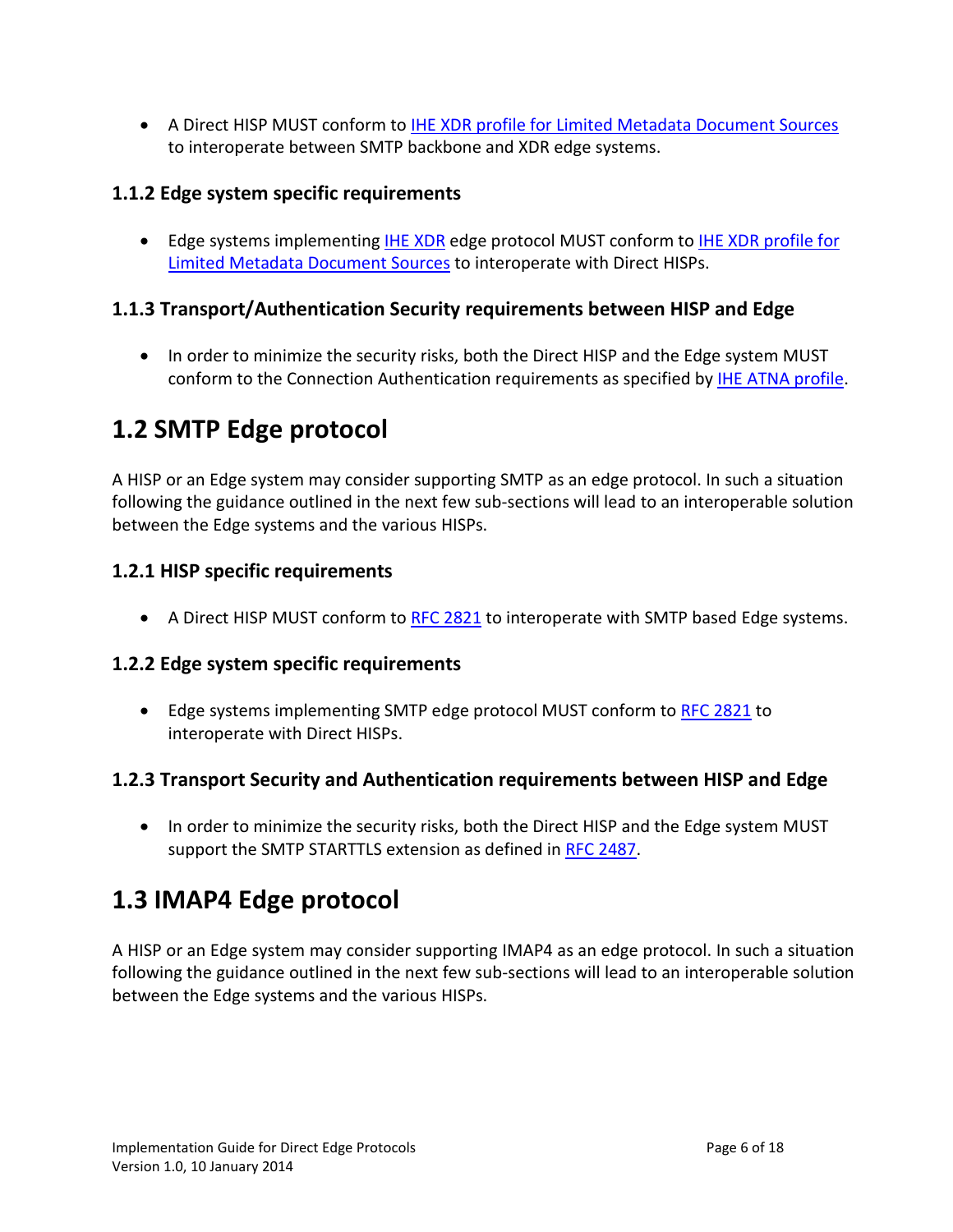• A Direct HISP MUST conform to [IHE XDR profile for Limited Metadata Document Sources](http://www.ihe.net/Technical_Framework/upload/IHE_ITI_Suppl_Support-for-Metadata-Limited-Doc-Sources_Rev1-1_TI_2011-08-19.pdf) to interoperate between SMTP backbone and XDR edge systems.

## <span id="page-5-0"></span>**1.1.2 Edge system specific requirements**

• Edge systems implementing [IHE XDR](http://www.ihe.net/Technical_Framework/upload/IHE_ITI_Suppl_Support-for-Metadata-Limited-Doc-Sources_Rev1-1_TI_2011-08-19.pdf) edge protocol MUST conform to IHE XDR profile for [Limited Metadata Document Sources](http://www.ihe.net/Technical_Framework/upload/IHE_ITI_Suppl_Support-for-Metadata-Limited-Doc-Sources_Rev1-1_TI_2011-08-19.pdf) to interoperate with Direct HISPs.

### <span id="page-5-1"></span>**1.1.3 Transport/Authentication Security requirements between HISP and Edge**

• In order to minimize the security risks, both the Direct HISP and the Edge system MUST conform to the Connection Authentication requirements as specified by [IHE ATNA profile.](http://wiki.ihe.net/index.php?title=Audit_Trail_and_Node_Authentication)

# <span id="page-5-2"></span>**1.2 SMTP Edge protocol**

A HISP or an Edge system may consider supporting SMTP as an edge protocol. In such a situation following the guidance outlined in the next few sub-sections will lead to an interoperable solution between the Edge systems and the various HISPs.

## <span id="page-5-3"></span>**1.2.1 HISP specific requirements**

• A Direct HISP MUST conform to [RFC 2821](http://www.ietf.org/rfc/rfc2821.txt) to interoperate with SMTP based Edge systems.

### <span id="page-5-4"></span>**1.2.2 Edge system specific requirements**

• Edge systems implementing SMTP edge protocol MUST conform to [RFC 2821](http://www.ietf.org/rfc/rfc2821.txt) to interoperate with Direct HISPs.

## <span id="page-5-5"></span>**1.2.3 Transport Security and Authentication requirements between HISP and Edge**

• In order to minimize the security risks, both the Direct HISP and the Edge system MUST support the SMTP STARTTLS extension as defined in [RFC 2487.](http://tools.ietf.org/html/rfc2487)

# <span id="page-5-6"></span>**1.3 IMAP4 Edge protocol**

A HISP or an Edge system may consider supporting IMAP4 as an edge protocol. In such a situation following the guidance outlined in the next few sub-sections will lead to an interoperable solution between the Edge systems and the various HISPs.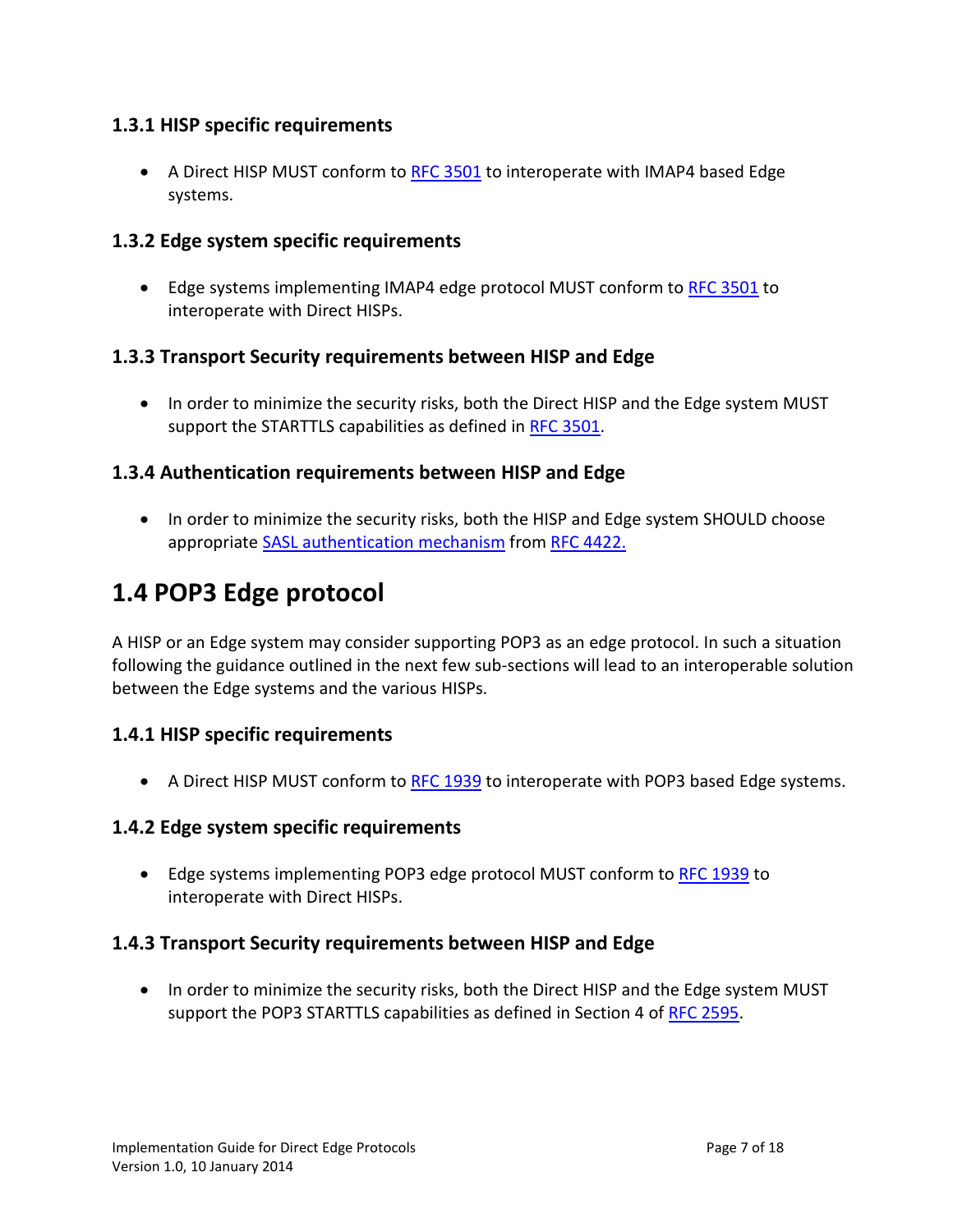### <span id="page-6-0"></span>**1.3.1 HISP specific requirements**

• A Direct HISP MUST conform to [RFC 3501](http://tools.ietf.org/html/rfc3501) to interoperate with IMAP4 based Edge systems.

#### <span id="page-6-1"></span>**1.3.2 Edge system specific requirements**

• Edge systems implementing IMAP4 edge protocol MUST conform to [RFC 3501](http://tools.ietf.org/html/rfc3501) to interoperate with Direct HISPs.

#### <span id="page-6-2"></span>**1.3.3 Transport Security requirements between HISP and Edge**

• In order to minimize the security risks, both the Direct HISP and the Edge system MUST support the STARTTLS capabilities as defined in [RFC 3501.](http://tools.ietf.org/html/rfc3501)

#### <span id="page-6-3"></span>**1.3.4 Authentication requirements between HISP and Edge**

• In order to minimize the security risks, both the HISP and Edge system SHOULD choose appropriate [SASL authentication mechanism](http://www.iana.org/assignments/sasl-mechanisms/sasl-mechanisms.xhtml) from [RFC 4422.](http://tools.ietf.org/html/rfc4422)

## <span id="page-6-4"></span>**1.4 POP3 Edge protocol**

A HISP or an Edge system may consider supporting POP3 as an edge protocol. In such a situation following the guidance outlined in the next few sub-sections will lead to an interoperable solution between the Edge systems and the various HISPs.

#### <span id="page-6-5"></span>**1.4.1 HISP specific requirements**

• A Direct HISP MUST conform to [RFC 1939](http://www.ietf.org/rfc/rfc1939.txt) to interoperate with POP3 based Edge systems.

#### <span id="page-6-6"></span>**1.4.2 Edge system specific requirements**

• Edge systems implementing POP3 edge protocol MUST conform to [RFC 1939](http://www.ietf.org/rfc/rfc1939.txt) to interoperate with Direct HISPs.

#### <span id="page-6-7"></span>**1.4.3 Transport Security requirements between HISP and Edge**

• In order to minimize the security risks, both the Direct HISP and the Edge system MUST support the POP3 STARTTLS capabilities as defined in Section 4 of [RFC 2595.](http://tools.ietf.org/html/rfc2595)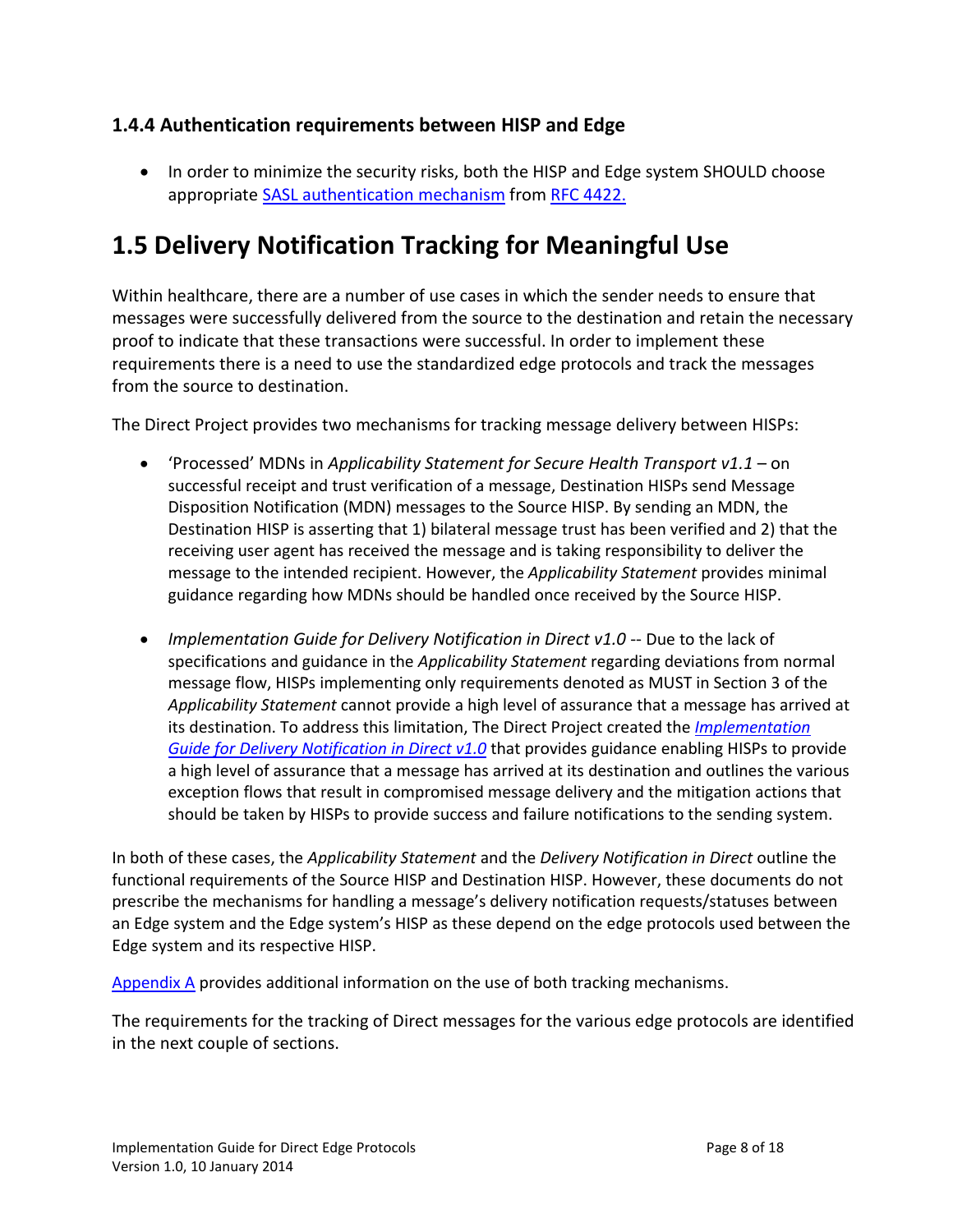## <span id="page-7-0"></span>**1.4.4 Authentication requirements between HISP and Edge**

• In order to minimize the security risks, both the HISP and Edge system SHOULD choose appropriate **SASL** authentication mechanism from [RFC 4422.](http://tools.ietf.org/html/rfc4422)

# <span id="page-7-1"></span>**1.5 Delivery Notification Tracking for Meaningful Use**

Within healthcare, there are a number of use cases in which the sender needs to ensure that messages were successfully delivered from the source to the destination and retain the necessary proof to indicate that these transactions were successful. In order to implement these requirements there is a need to use the standardized edge protocols and track the messages from the source to destination.

The Direct Project provides two mechanisms for tracking message delivery between HISPs:

- 'Processed' MDNs in *Applicability Statement for Secure Health Transport v1.1* on successful receipt and trust verification of a message, Destination HISPs send Message Disposition Notification (MDN) messages to the Source HISP. By sending an MDN, the Destination HISP is asserting that 1) bilateral message trust has been verified and 2) that the receiving user agent has received the message and is taking responsibility to deliver the message to the intended recipient. However, the *Applicability Statement* provides minimal guidance regarding how MDNs should be handled once received by the Source HISP.
- *Implementation Guide for Delivery Notification in Direct v1.0* -- Due to the lack of specifications and guidance in the *Applicability Statement* regarding deviations from normal message flow, HISPs implementing only requirements denoted as MUST in Section 3 of the *Applicability Statement* cannot provide a high level of assurance that a message has arrived at its destination. To address this limitation, The Direct Project created the *[Implementation](http://wiki.directproject.org/file/view/Implementation+Guide+for+Delivery+Notification+in+Direct+v1.0.pdf)  [Guide for Delivery Notification in Direct v1.0](http://wiki.directproject.org/file/view/Implementation+Guide+for+Delivery+Notification+in+Direct+v1.0.pdf)* that provides guidance enabling HISPs to provide a high level of assurance that a message has arrived at its destination and outlines the various exception flows that result in compromised message delivery and the mitigation actions that should be taken by HISPs to provide success and failure notifications to the sending system.

In both of these cases, the *Applicability Statement* and the *Delivery Notification in Direct* outline the functional requirements of the Source HISP and Destination HISP. However, these documents do not prescribe the mechanisms for handling a message's delivery notification requests/statuses between an Edge system and the Edge system's HISP as these depend on the edge protocols used between the Edge system and its respective HISP.

[Appendix A](#page-13-0) provides additional information on the use of both tracking mechanisms.

The requirements for the tracking of Direct messages for the various edge protocols are identified in the next couple of sections.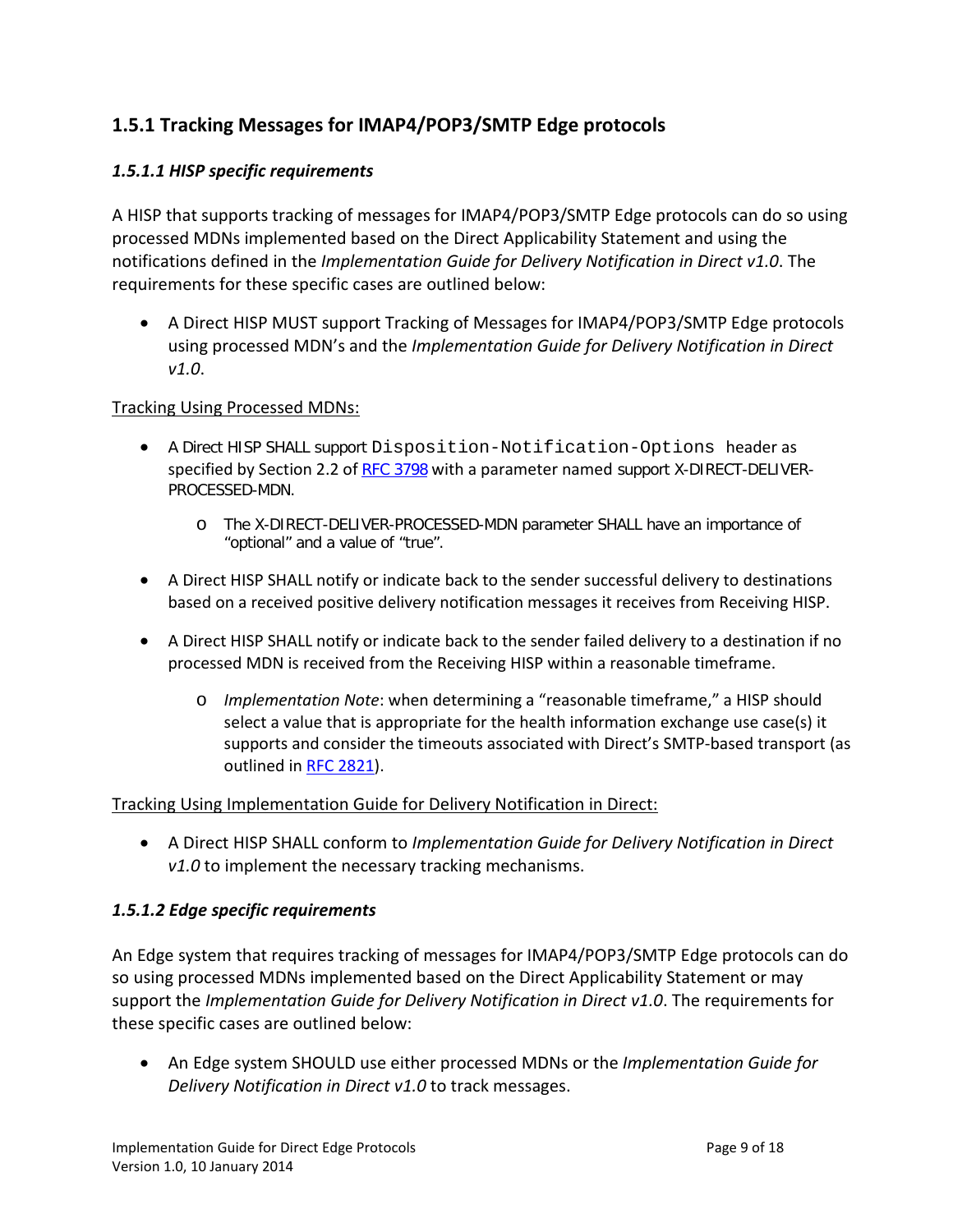## <span id="page-8-0"></span>**1.5.1 Tracking Messages for IMAP4/POP3/SMTP Edge protocols**

#### *1.5.1.1 HISP specific requirements*

A HISP that supports tracking of messages for IMAP4/POP3/SMTP Edge protocols can do so using processed MDNs implemented based on the Direct Applicability Statement and using the notifications defined in the *Implementation Guide for Delivery Notification in Direct v1.0*. The requirements for these specific cases are outlined below:

• A Direct HISP MUST support Tracking of Messages for IMAP4/POP3/SMTP Edge protocols using processed MDN's and the *Implementation Guide for Delivery Notification in Direct v1.0*.

#### Tracking Using Processed MDNs:

- A Direct HISP SHALL support Disposition-Notification-Options header as specified by Section 2.2 of [RFC 3798](http://tools.ietf.org/html/rfc3798) with a parameter named support X-DIRECT-DELIVER-PROCESSED-MDN.
	- o The X-DIRECT-DELIVER-PROCESSED-MDN parameter SHALL have an importance of "optional" and a value of "true".
- A Direct HISP SHALL notify or indicate back to the sender successful delivery to destinations based on a received positive delivery notification messages it receives from Receiving HISP.
- A Direct HISP SHALL notify or indicate back to the sender failed delivery to a destination if no processed MDN is received from the Receiving HISP within a reasonable timeframe.
	- o *Implementation Note*: when determining a "reasonable timeframe," a HISP should select a value that is appropriate for the health information exchange use case(s) it supports and consider the timeouts associated with Direct's SMTP-based transport (as outlined in RFC 2821).

#### Tracking Using Implementation Guide for Delivery Notification in Direct:

• A Direct HISP SHALL conform to *Implementation Guide for Delivery Notification in Direct v1.0* to implement the necessary tracking mechanisms.

#### *1.5.1.2 Edge specific requirements*

An Edge system that requires tracking of messages for IMAP4/POP3/SMTP Edge protocols can do so using processed MDNs implemented based on the Direct Applicability Statement or may support the *Implementation Guide for Delivery Notification in Direct v1.0*. The requirements for these specific cases are outlined below:

• An Edge system SHOULD use either processed MDNs or the *Implementation Guide for Delivery Notification in Direct v1.0* to track messages.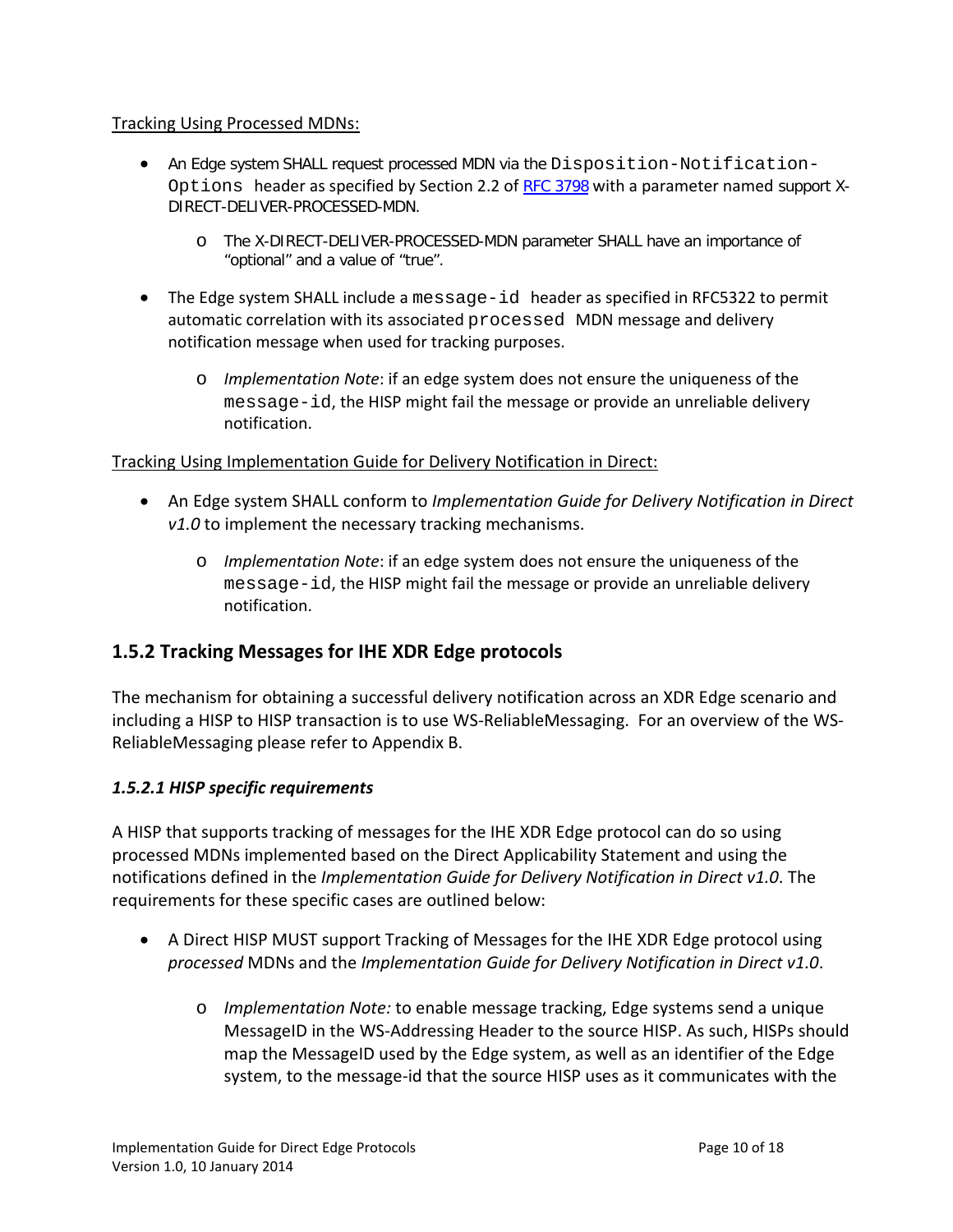#### Tracking Using Processed MDNs:

- An Edge system SHALL request processed MDN via the Disposition-Notification-Options header as specified by Section 2.2 of [RFC 3798](http://tools.ietf.org/html/rfc3798) with a parameter named support X-DIRECT-DELIVER-PROCESSED-MDN.
	- o The X-DIRECT-DELIVER-PROCESSED-MDN parameter SHALL have an importance of "optional" and a value of "true".
- The Edge system SHALL include a message-id header as specified in RFC5322 to permit automatic correlation with its associated processed MDN message and delivery notification message when used for tracking purposes.
	- o *Implementation Note*: if an edge system does not ensure the uniqueness of the message-id, the HISP might fail the message or provide an unreliable delivery notification.

#### Tracking Using Implementation Guide for Delivery Notification in Direct:

- An Edge system SHALL conform to *Implementation Guide for Delivery Notification in Direct v1.0* to implement the necessary tracking mechanisms.
	- o *Implementation Note*: if an edge system does not ensure the uniqueness of the message-id, the HISP might fail the message or provide an unreliable delivery notification.

### <span id="page-9-0"></span>**1.5.2 Tracking Messages for IHE XDR Edge protocols**

The mechanism for obtaining a successful delivery notification across an XDR Edge scenario and including a HISP to HISP transaction is to use WS-ReliableMessaging. For an overview of the WS-ReliableMessaging please refer to Appendix B.

#### *1.5.2.1 HISP specific requirements*

A HISP that supports tracking of messages for the IHE XDR Edge protocol can do so using processed MDNs implemented based on the Direct Applicability Statement and using the notifications defined in the *Implementation Guide for Delivery Notification in Direct v1.0*. The requirements for these specific cases are outlined below:

- A Direct HISP MUST support Tracking of Messages for the IHE XDR Edge protocol using *processed* MDNs and the *Implementation Guide for Delivery Notification in Direct v1.0*.
	- o *Implementation Note:* to enable message tracking, Edge systems send a unique MessageID in the WS-Addressing Header to the source HISP. As such, HISPs should map the MessageID used by the Edge system, as well as an identifier of the Edge system, to the message-id that the source HISP uses as it communicates with the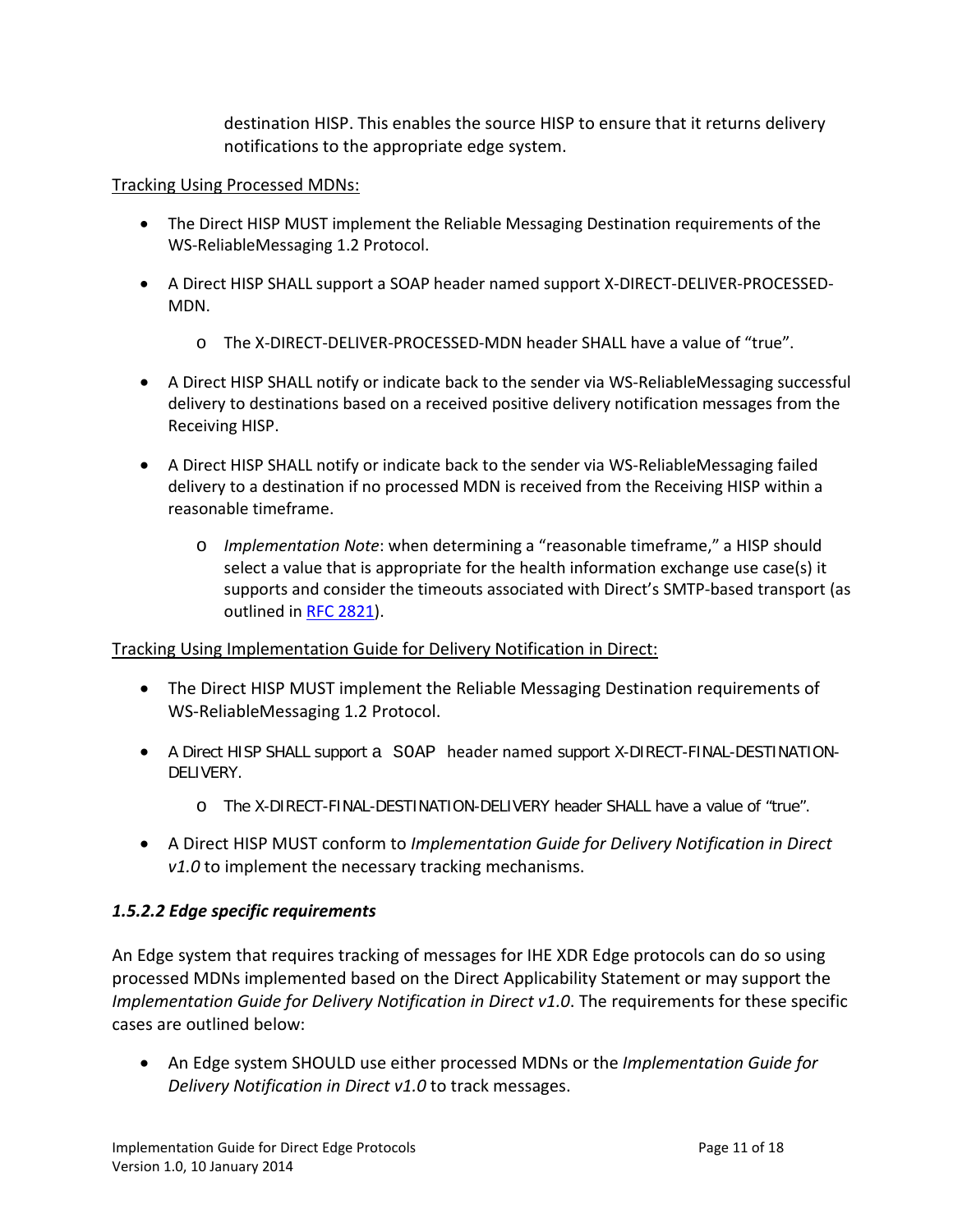destination HISP. This enables the source HISP to ensure that it returns delivery notifications to the appropriate edge system.

#### Tracking Using Processed MDNs:

- The Direct HISP MUST implement the Reliable Messaging Destination requirements of the WS-ReliableMessaging 1.2 Protocol.
- A Direct HISP SHALL support a SOAP header named support X-DIRECT-DELIVER-PROCESSED-MDN.
	- o The X-DIRECT-DELIVER-PROCESSED-MDN header SHALL have a value of "true".
- A Direct HISP SHALL notify or indicate back to the sender via WS-ReliableMessaging successful delivery to destinations based on a received positive delivery notification messages from the Receiving HISP.
- A Direct HISP SHALL notify or indicate back to the sender via WS-ReliableMessaging failed delivery to a destination if no processed MDN is received from the Receiving HISP within a reasonable timeframe.
	- o *Implementation Note*: when determining a "reasonable timeframe," a HISP should select a value that is appropriate for the health information exchange use case(s) it supports and consider the timeouts associated with Direct's SMTP-based transport (as outlined in RFC 2821).

#### Tracking Using Implementation Guide for Delivery Notification in Direct:

- The Direct HISP MUST implement the Reliable Messaging Destination requirements of WS-ReliableMessaging 1.2 Protocol.
- A Direct HISP SHALL support a SOAP header named support X-DIRECT-FINAL-DESTINATION-DELIVERY.
	- o The X-DIRECT-FINAL-DESTINATION-DELIVERY header SHALL have a value of "true".
- A Direct HISP MUST conform to *Implementation Guide for Delivery Notification in Direct v1.0* to implement the necessary tracking mechanisms.

#### *1.5.2.2 Edge specific requirements*

An Edge system that requires tracking of messages for IHE XDR Edge protocols can do so using processed MDNs implemented based on the Direct Applicability Statement or may support the *Implementation Guide for Delivery Notification in Direct v1.0*. The requirements for these specific cases are outlined below:

• An Edge system SHOULD use either processed MDNs or the *Implementation Guide for Delivery Notification in Direct v1.0* to track messages.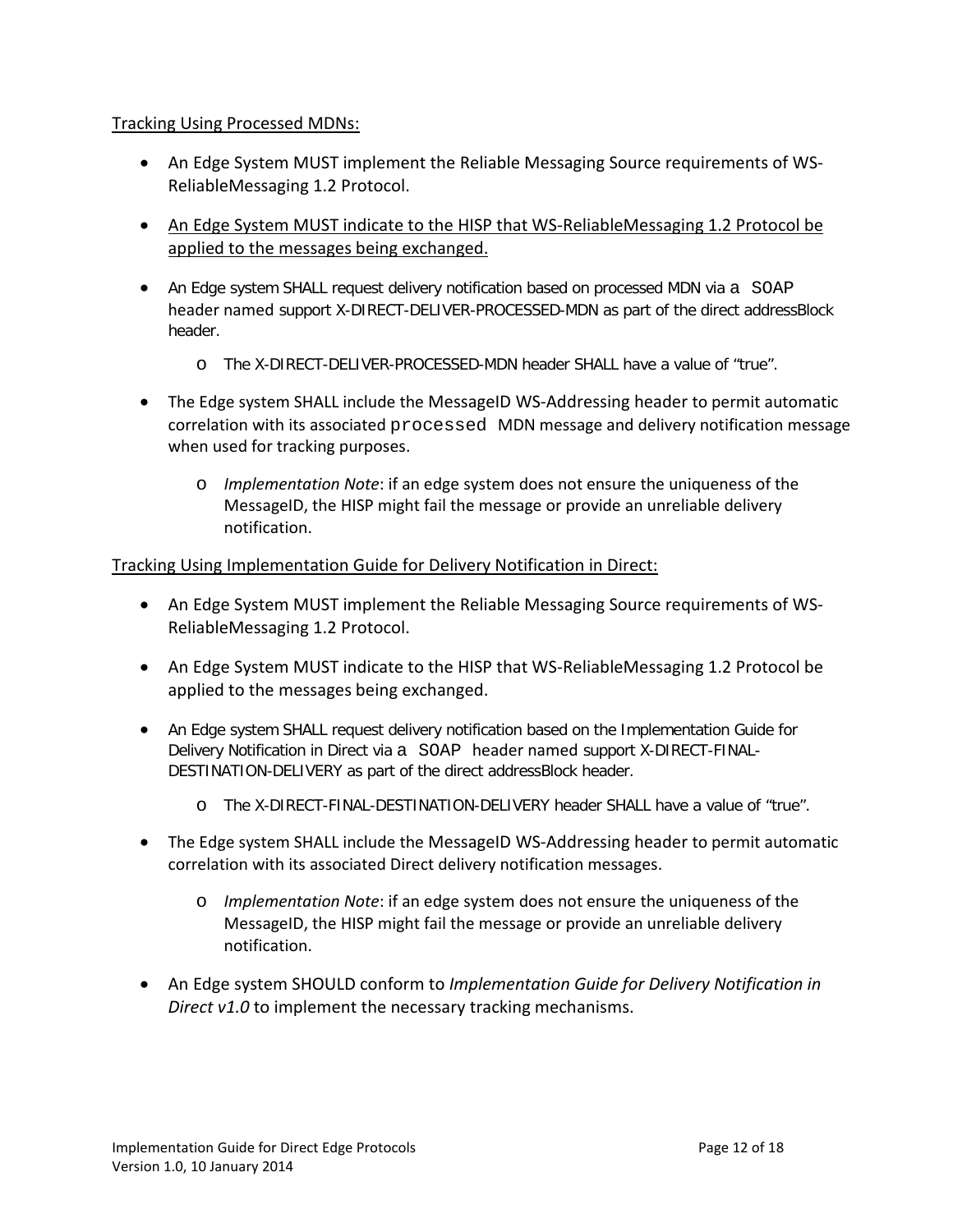#### Tracking Using Processed MDNs:

- An Edge System MUST implement the Reliable Messaging Source requirements of WS-ReliableMessaging 1.2 Protocol.
- An Edge System MUST indicate to the HISP that WS-ReliableMessaging 1.2 Protocol be applied to the messages being exchanged.
- An Edge system SHALL request delivery notification based on processed MDN via a SOAP header named support X-DIRECT-DELIVER-PROCESSED-MDN as part of the direct addressBlock header.
	- o The X-DIRECT-DELIVER-PROCESSED-MDN header SHALL have a value of "true".
- The Edge system SHALL include the MessageID WS-Addressing header to permit automatic correlation with its associated processed MDN message and delivery notification message when used for tracking purposes.
	- o *Implementation Note*: if an edge system does not ensure the uniqueness of the MessageID, the HISP might fail the message or provide an unreliable delivery notification.

#### Tracking Using Implementation Guide for Delivery Notification in Direct:

- An Edge System MUST implement the Reliable Messaging Source requirements of WS-ReliableMessaging 1.2 Protocol.
- An Edge System MUST indicate to the HISP that WS-ReliableMessaging 1.2 Protocol be applied to the messages being exchanged.
- An Edge system SHALL request delivery notification based on the Implementation Guide for Delivery Notification in Direct via a SOAP header named support X-DIRECT-FINAL-DESTINATION-DELIVERY as part of the direct addressBlock header.
	- o The X-DIRECT-FINAL-DESTINATION-DELIVERY header SHALL have a value of "true".
- The Edge system SHALL include the MessageID WS-Addressing header to permit automatic correlation with its associated Direct delivery notification messages.
	- o *Implementation Note*: if an edge system does not ensure the uniqueness of the MessageID, the HISP might fail the message or provide an unreliable delivery notification.
- An Edge system SHOULD conform to *Implementation Guide for Delivery Notification in Direct v1.0* to implement the necessary tracking mechanisms.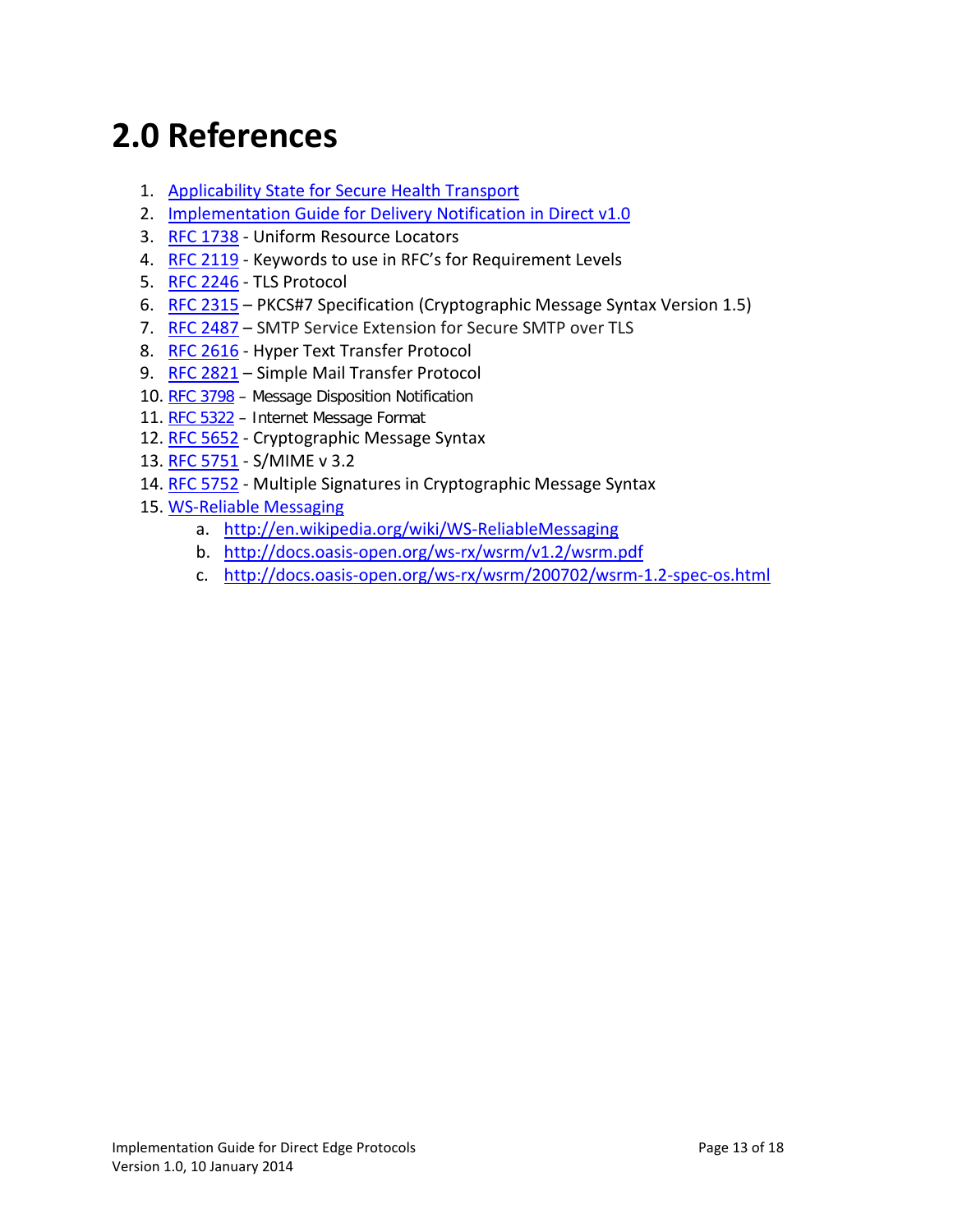# <span id="page-12-0"></span>**2.0 References**

- 1. [Applicability State for Secure Health Transport](http://wiki.directproject.org/file/view/Applicability+Statement+for+Secure+Health+Transport+v1.1.pdf)
- 2. [Implementation Guide for Delivery Notification in Direct v1.0](http://wiki.directproject.org/file/view/Implementation+Guide+for+Delivery+Notification+in+Direct+v1.0.pdf)
- 3. [RFC 1738](http://tools.ietf.org/html/rfc1738) Uniform Resource Locators
- 4. [RFC 2119](http://tools.ietf.org/html/rfc2119) Keywords to use in RFC's for Requirement Levels
- 5. [RFC 2246](http://tools.ietf.org/html/rfc2246) TLS Protocol
- 6. [RFC 2315](http://tools.ietf.org/html/rfc2315) PKCS#7 Specification (Cryptographic Message Syntax Version 1.5)
- 7. RFC 2487 SMTP Service Extension for Secure SMTP over TLS
- 8. [RFC 2616](http://tools.ietf.org/html/rfc2616) Hyper Text Transfer Protocol
- 9. RFC 2821 Simple Mail Transfer Protocol
- 10. [RFC 3798](http://tools.ietf.org/html/rfc3798) Message Disposition Notification
- 11. [RFC 5322](http://tools.ietf.org/html/rfc5322) Internet Message Format
- 12. [RFC 5652](https://tools.ietf.org/html/rfc5652) Cryptographic Message Syntax
- 13. [RFC 5751](https://tools.ietf.org/html/rfc5751) S/MIME v 3.2
- 14. [RFC 5752](http://tools.ietf.org/html/rfc5752) Multiple Signatures in Cryptographic Message Syntax
- 15. [WS-Reliable](http://wiki.directproject.org/XDR+and+XDM+for+Direct+Messaging+Working+Version) Messaging
	- a. <http://en.wikipedia.org/wiki/WS-ReliableMessaging>
	- b. <http://docs.oasis-open.org/ws-rx/wsrm/v1.2/wsrm.pdf>
	- c. <http://docs.oasis-open.org/ws-rx/wsrm/200702/wsrm-1.2-spec-os.html>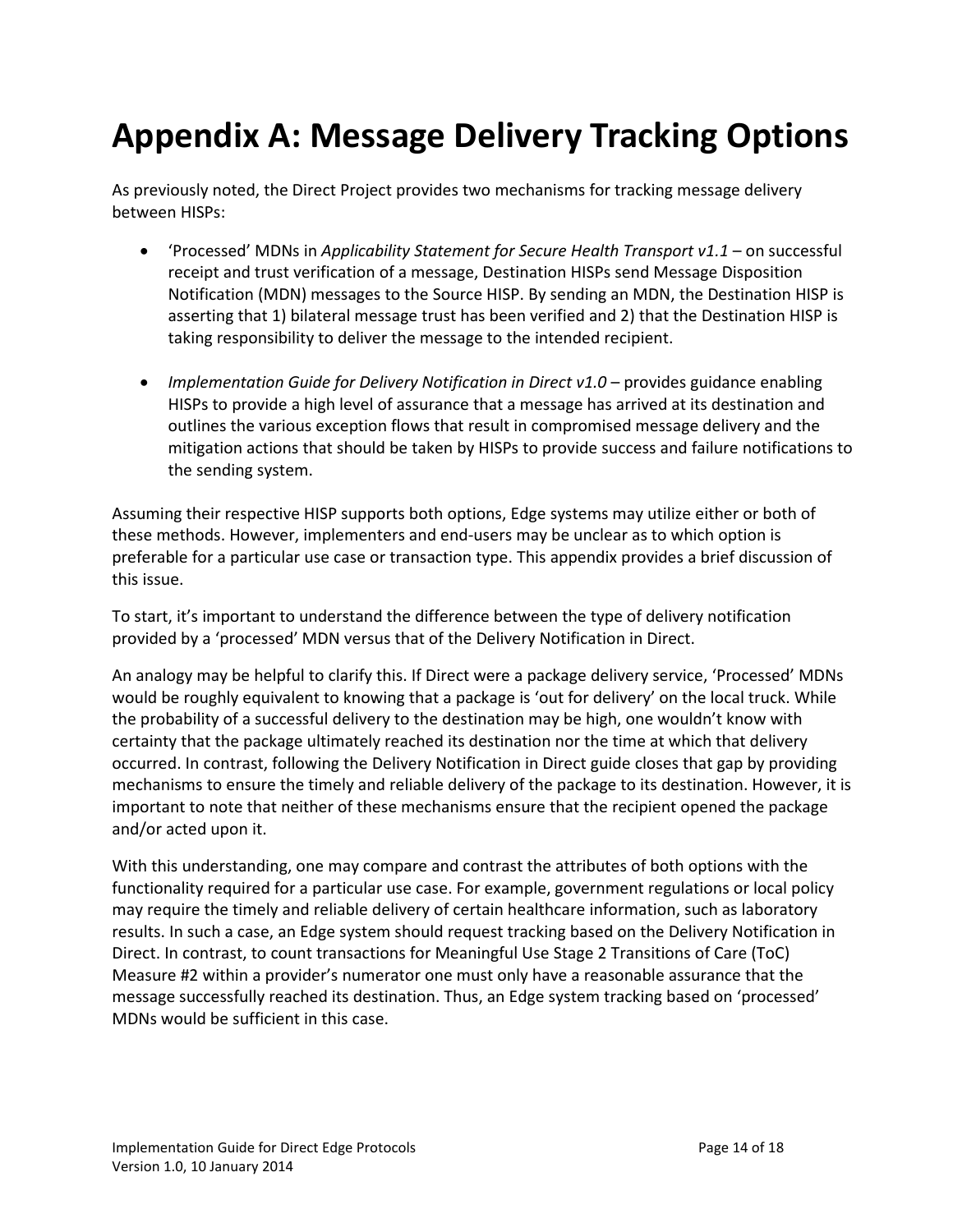# <span id="page-13-0"></span>**Appendix A: Message Delivery Tracking Options**

As previously noted, the Direct Project provides two mechanisms for tracking message delivery between HISPs:

- 'Processed' MDNs in *Applicability Statement for Secure Health Transport v1.1* on successful receipt and trust verification of a message, Destination HISPs send Message Disposition Notification (MDN) messages to the Source HISP. By sending an MDN, the Destination HISP is asserting that 1) bilateral message trust has been verified and 2) that the Destination HISP is taking responsibility to deliver the message to the intended recipient.
- *Implementation Guide for Delivery Notification in Direct v1.0* provides guidance enabling HISPs to provide a high level of assurance that a message has arrived at its destination and outlines the various exception flows that result in compromised message delivery and the mitigation actions that should be taken by HISPs to provide success and failure notifications to the sending system.

Assuming their respective HISP supports both options, Edge systems may utilize either or both of these methods. However, implementers and end-users may be unclear as to which option is preferable for a particular use case or transaction type. This appendix provides a brief discussion of this issue.

To start, it's important to understand the difference between the type of delivery notification provided by a 'processed' MDN versus that of the Delivery Notification in Direct.

An analogy may be helpful to clarify this. If Direct were a package delivery service, 'Processed' MDNs would be roughly equivalent to knowing that a package is 'out for delivery' on the local truck. While the probability of a successful delivery to the destination may be high, one wouldn't know with certainty that the package ultimately reached its destination nor the time at which that delivery occurred. In contrast, following the Delivery Notification in Direct guide closes that gap by providing mechanisms to ensure the timely and reliable delivery of the package to its destination. However, it is important to note that neither of these mechanisms ensure that the recipient opened the package and/or acted upon it.

With this understanding, one may compare and contrast the attributes of both options with the functionality required for a particular use case. For example, government regulations or local policy may require the timely and reliable delivery of certain healthcare information, such as laboratory results. In such a case, an Edge system should request tracking based on the Delivery Notification in Direct. In contrast, to count transactions for Meaningful Use Stage 2 Transitions of Care (ToC) Measure #2 within a provider's numerator one must only have a reasonable assurance that the message successfully reached its destination. Thus, an Edge system tracking based on 'processed' MDNs would be sufficient in this case.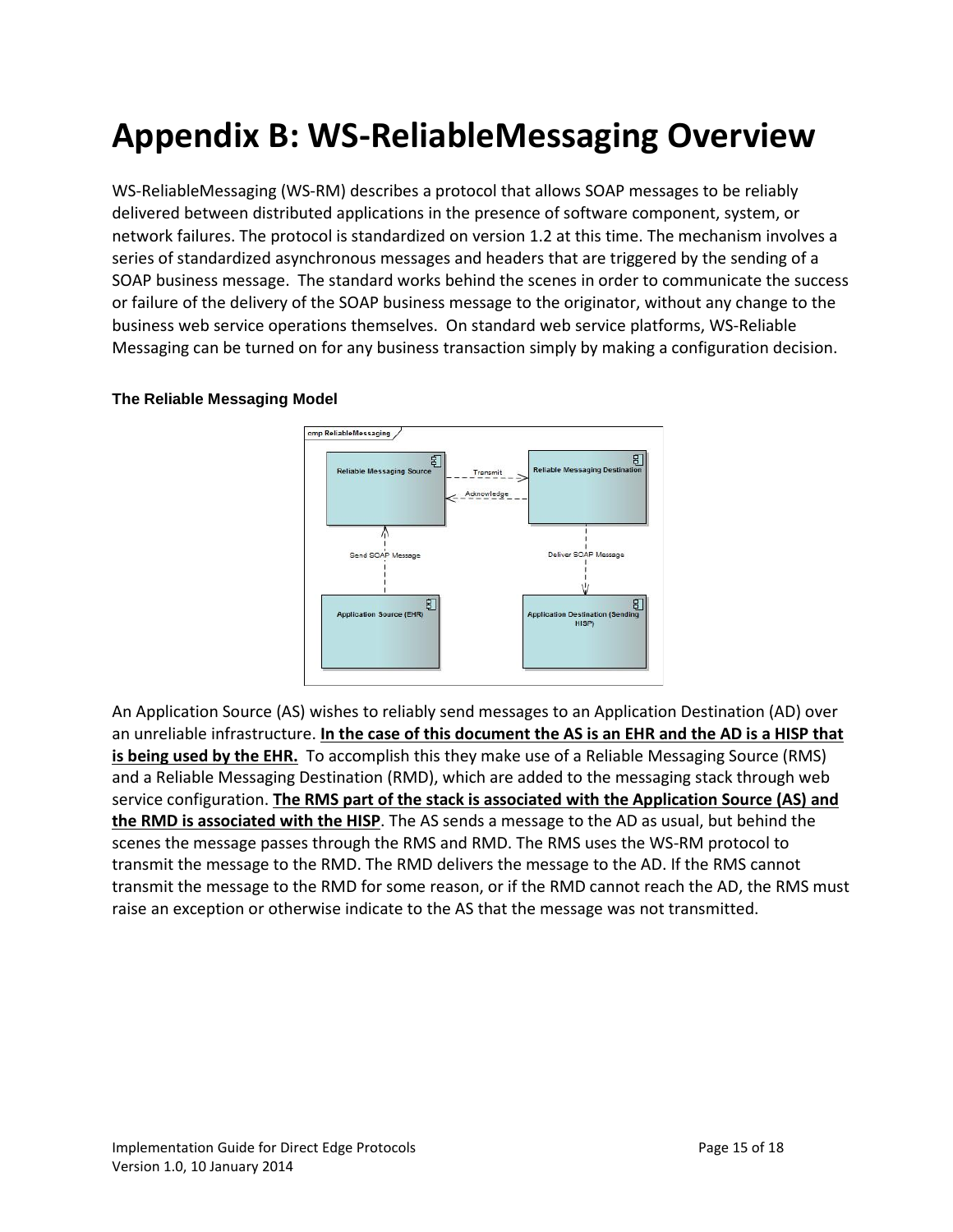# <span id="page-14-0"></span>**Appendix B: WS-ReliableMessaging Overview**

WS-ReliableMessaging (WS-RM) describes a protocol that allows SOAP messages to be reliably delivered between distributed applications in the presence of software component, system, or network failures. The protocol is standardized on version 1.2 at this time. The mechanism involves a series of standardized asynchronous messages and headers that are triggered by the sending of a SOAP business message. The standard works behind the scenes in order to communicate the success or failure of the delivery of the SOAP business message to the originator, without any change to the business web service operations themselves. On standard web service platforms, WS-Reliable Messaging can be turned on for any business transaction simply by making a configuration decision.

#### **The Reliable Messaging Model**



An Application Source (AS) wishes to reliably send messages to an Application Destination (AD) over an unreliable infrastructure. **In the case of this document the AS is an EHR and the AD is a HISP that is being used by the EHR.** To accomplish this they make use of a Reliable Messaging Source (RMS) and a Reliable Messaging Destination (RMD), which are added to the messaging stack through web service configuration. **The RMS part of the stack is associated with the Application Source (AS) and the RMD is associated with the HISP**. The AS sends a message to the AD as usual, but behind the scenes the message passes through the RMS and RMD. The RMS uses the WS-RM protocol to transmit the message to the RMD. The RMD delivers the message to the AD. If the RMS cannot transmit the message to the RMD for some reason, or if the RMD cannot reach the AD, the RMS must raise an exception or otherwise indicate to the AS that the message was not transmitted.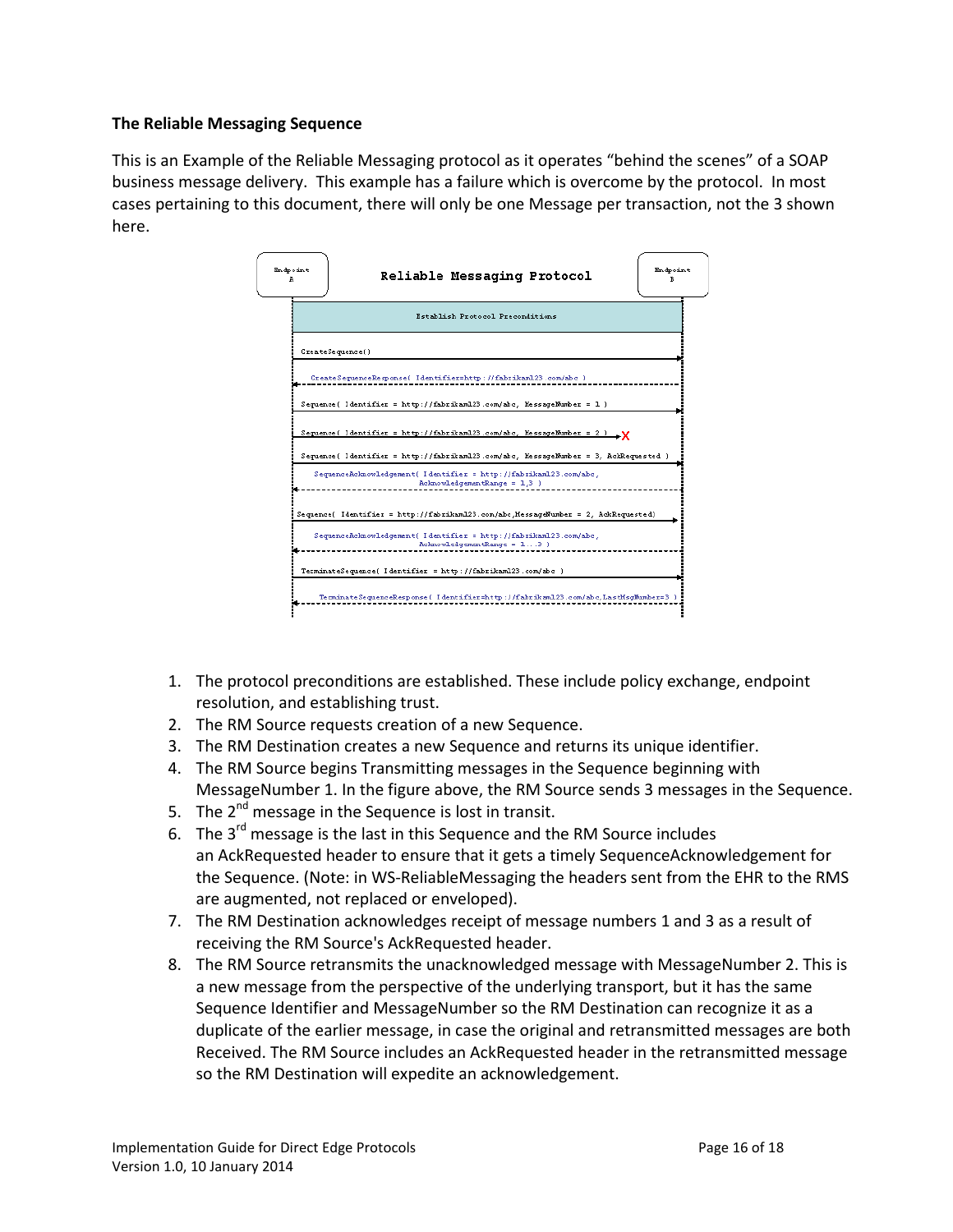#### **The Reliable Messaging Sequence**

This is an Example of the Reliable Messaging protocol as it operates "behind the scenes" of a SOAP business message delivery. This example has a failure which is overcome by the protocol. In most cases pertaining to this document, there will only be one Message per transaction, not the 3 shown here.

| Endpoint<br>Endpoint<br><b>Reliable Messaging Protocol</b><br>A<br>в                               |
|----------------------------------------------------------------------------------------------------|
| Establish Protocol Preconditions                                                                   |
| CreateSequence()                                                                                   |
| CreateSequenceResponse( Identifier=http://fabrikam123.com/abc )                                    |
| Sequence (Identifier = http://fabrikam123.com/abc, HessaqeNumber = 1)                              |
| Sequence (Identifier = http://fabrikam123.com/abc, HessageNumber = 2) $\vee$                       |
| Sequence (Identifier = http://fabrikaml23.com/abc, HessaqeNumber = 3, AckRequested )               |
| SequenceRcknowledgement( Identifier = http://fabrikam123.com/abc,<br>$AcknowledgementRange = 1,3)$ |
| Sequence( Identifier = http://fabrikam123.com/abc.HessageNumber = 2, AckRequested)                 |
| SequenceRcknowledgement( Identifier = http://fabrikam123.com/abc,<br>$AcknowledgementRange = 13)$  |
| TerminateSequence( Identifier = http://fabrikam123.com/abc )                                       |
| TerminateSequenceResponse(Identifier=http://fabrikam123.com/abc,LastHsqNumber=3)}                  |

- 1. The protocol preconditions are established. These include policy exchange, endpoint resolution, and establishing trust.
- 2. The RM Source requests creation of a new Sequence.
- 3. The RM Destination creates a new Sequence and returns its unique identifier.
- 4. The RM Source begins Transmitting messages in the Sequence beginning with MessageNumber 1. In the figure above, the RM Source sends 3 messages in the Sequence.
- 5. The  $2^{nd}$  message in the Sequence is lost in transit.
- 6. The  $3^{rd}$  message is the last in this Sequence and the RM Source includes an AckRequested header to ensure that it gets a timely SequenceAcknowledgement for the Sequence. (Note: in WS-ReliableMessaging the headers sent from the EHR to the RMS are augmented, not replaced or enveloped).
- 7. The RM Destination acknowledges receipt of message numbers 1 and 3 as a result of receiving the RM Source's AckRequested header.
- 8. The RM Source retransmits the unacknowledged message with MessageNumber 2. This is a new message from the perspective of the underlying transport, but it has the same Sequence Identifier and MessageNumber so the RM Destination can recognize it as a duplicate of the earlier message, in case the original and retransmitted messages are both Received. The RM Source includes an AckRequested header in the retransmitted message so the RM Destination will expedite an acknowledgement.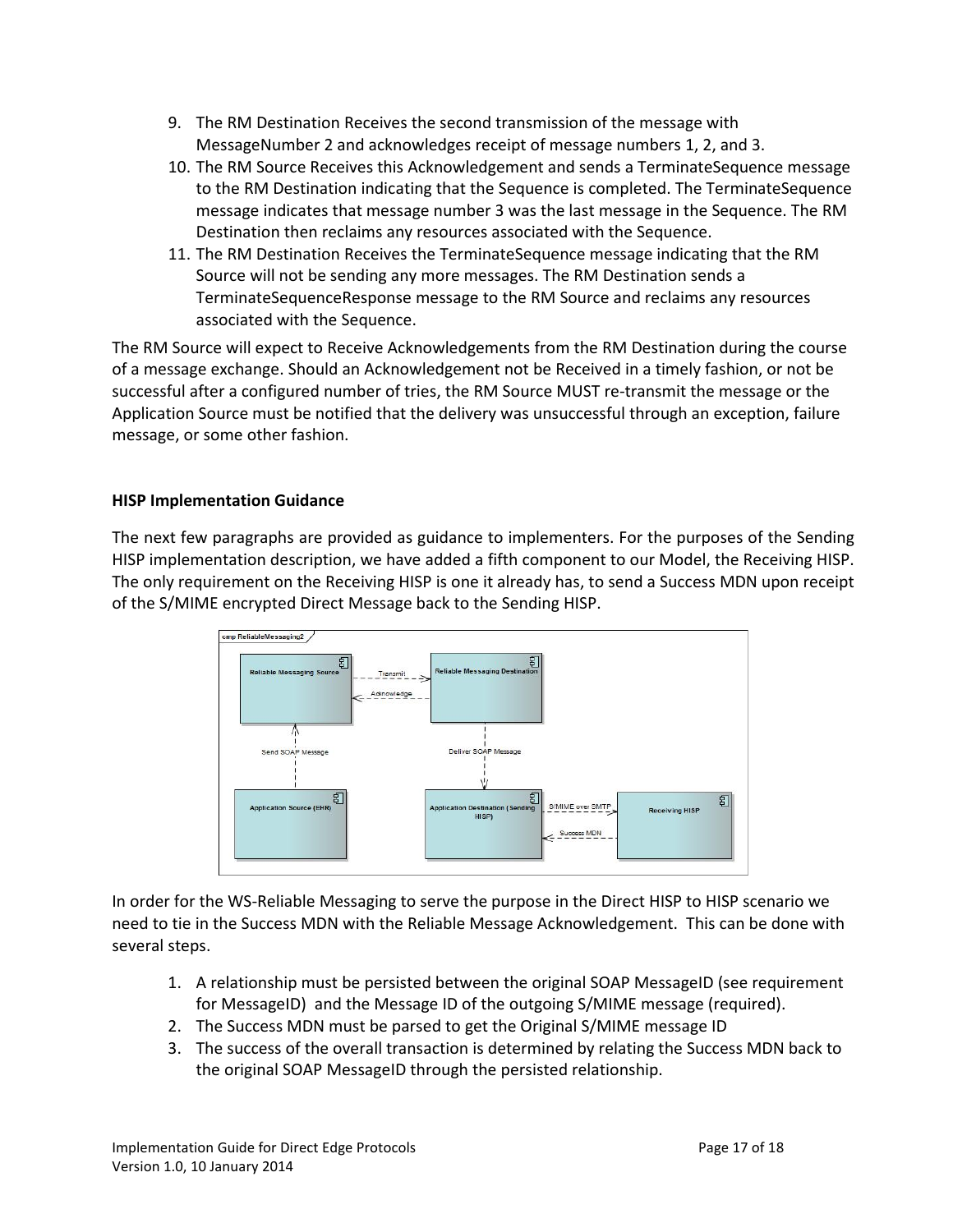- 9. The RM Destination Receives the second transmission of the message with MessageNumber 2 and acknowledges receipt of message numbers 1, 2, and 3.
- 10. The RM Source Receives this Acknowledgement and sends a TerminateSequence message to the RM Destination indicating that the Sequence is completed. The TerminateSequence message indicates that message number 3 was the last message in the Sequence. The RM Destination then reclaims any resources associated with the Sequence.
- 11. The RM Destination Receives the TerminateSequence message indicating that the RM Source will not be sending any more messages. The RM Destination sends a TerminateSequenceResponse message to the RM Source and reclaims any resources associated with the Sequence.

The RM Source will expect to Receive Acknowledgements from the RM Destination during the course of a message exchange. Should an Acknowledgement not be Received in a timely fashion, or not be successful after a configured number of tries, the RM Source MUST re-transmit the message or the Application Source must be notified that the delivery was unsuccessful through an exception, failure message, or some other fashion.

#### **HISP Implementation Guidance**

The next few paragraphs are provided as guidance to implementers. For the purposes of the Sending HISP implementation description, we have added a fifth component to our Model, the Receiving HISP. The only requirement on the Receiving HISP is one it already has, to send a Success MDN upon receipt of the S/MIME encrypted Direct Message back to the Sending HISP.



In order for the WS-Reliable Messaging to serve the purpose in the Direct HISP to HISP scenario we need to tie in the Success MDN with the Reliable Message Acknowledgement. This can be done with several steps.

- 1. A relationship must be persisted between the original SOAP MessageID (see requirement for MessageID) and the Message ID of the outgoing S/MIME message (required).
- 2. The Success MDN must be parsed to get the Original S/MIME message ID
- 3. The success of the overall transaction is determined by relating the Success MDN back to the original SOAP MessageID through the persisted relationship.